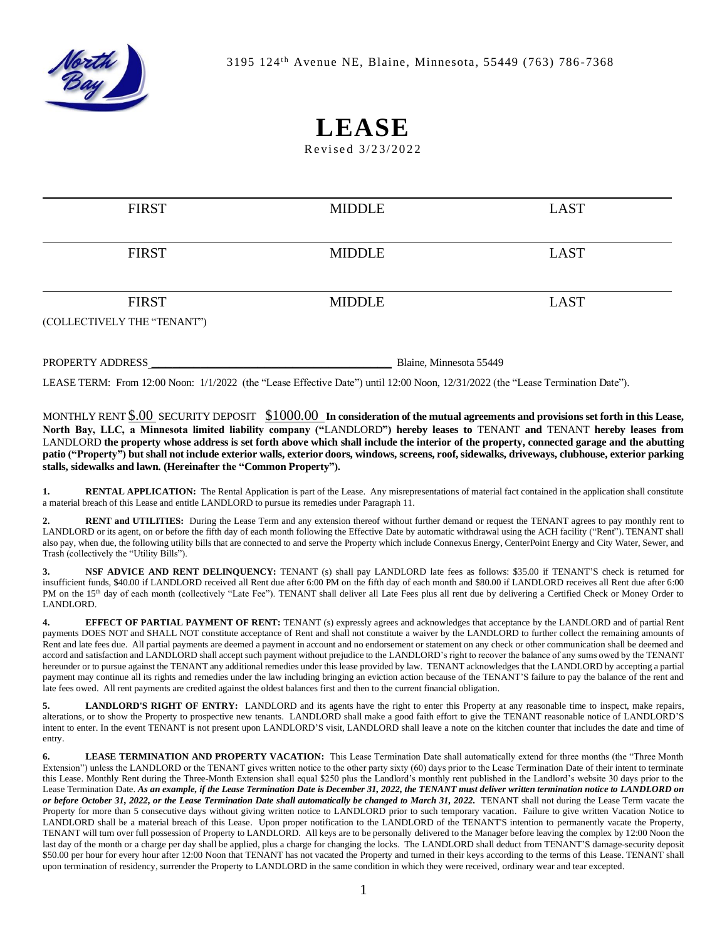

## **LEASE**

Revised 3/23/2022

| <b>FIRST</b>                | <b>MIDDLE</b> | <b>LAST</b> |
|-----------------------------|---------------|-------------|
|                             |               |             |
| <b>FIRST</b>                | <b>MIDDLE</b> | <b>LAST</b> |
|                             |               |             |
| <b>FIRST</b>                | <b>MIDDLE</b> | <b>LAST</b> |
| (COLLECTIVELY THE "TENANT") |               |             |
|                             |               |             |

PROPERTY ADDRESS **Example 20** and the Blaine, Minnesota 55449

LEASE TERM: From 12:00 Noon: 1/1/2022 (the "Lease Effective Date") until 12:00 Noon, 12/31/2022 (the "Lease Termination Date").

MONTHLY RENT \$.00 SECURITY DEPOSIT \$1000.00 **In consideration of the mutual agreements and provisions set forth in this Lease, North Bay, LLC, a Minnesota limited liability company ("**LANDLORD**") hereby leases to** TENANT **and** TENANT **hereby leases from**  LANDLORD **the property whose address is set forth above which shall include the interior of the property, connected garage and the abutting patio ("Property") but shall not include exterior walls, exterior doors, windows, screens, roof, sidewalks, driveways, clubhouse, exterior parking stalls, sidewalks and lawn. (Hereinafter the "Common Property").**

**1. RENTAL APPLICATION:** The Rental Application is part of the Lease. Any misrepresentations of material fact contained in the application shall constitute a material breach of this Lease and entitle LANDLORD to pursue its remedies under Paragraph 11.

**2. RENT and UTILITIES:** During the Lease Term and any extension thereof without further demand or request the TENANT agrees to pay monthly rent to LANDLORD or its agent, on or before the fifth day of each month following the Effective Date by automatic withdrawal using the ACH facility ("Rent"). TENANT shall also pay, when due, the following utility bills that are connected to and serve the Property which include Connexus Energy, CenterPoint Energy and City Water, Sewer, and Trash (collectively the "Utility Bills").

**3. NSF ADVICE AND RENT DELINQUENCY:** TENANT (s) shall pay LANDLORD late fees as follows: \$35.00 if TENANT'S check is returned for insufficient funds, \$40.00 if LANDLORD received all Rent due after 6:00 PM on the fifth day of each month and \$80.00 if LANDLORD receives all Rent due after 6:00 PM on the 15<sup>th</sup> day of each month (collectively "Late Fee"). TENANT shall deliver all Late Fees plus all rent due by delivering a Certified Check or Money Order to LANDLORD.

**4. EFFECT OF PARTIAL PAYMENT OF RENT:** TENANT (s) expressly agrees and acknowledges that acceptance by the LANDLORD and of partial Rent payments DOES NOT and SHALL NOT constitute acceptance of Rent and shall not constitute a waiver by the LANDLORD to further collect the remaining amounts of Rent and late fees due. All partial payments are deemed a payment in account and no endorsement or statement on any check or other communication shall be deemed and accord and satisfaction and LANDLORD shall accept such payment without prejudice to the LANDLORD's right to recover the balance of any sums owed by the TENANT hereunder or to pursue against the TENANT any additional remedies under this lease provided by law. TENANT acknowledges that the LANDLORD by accepting a partial payment may continue all its rights and remedies under the law including bringing an eviction action because of the TENANT'S failure to pay the balance of the rent and late fees owed. All rent payments are credited against the oldest balances first and then to the current financial obligation.

LANDLORD'S RIGHT OF ENTRY: LANDLORD and its agents have the right to enter this Property at any reasonable time to inspect, make repairs, alterations, or to show the Property to prospective new tenants. LANDLORD shall make a good faith effort to give the TENANT reasonable notice of LANDLORD'S intent to enter. In the event TENANT is not present upon LANDLORD'S visit, LANDLORD shall leave a note on the kitchen counter that includes the date and time of entry.

**6. LEASE TERMINATION AND PROPERTY VACATION:** This Lease Termination Date shall automatically extend for three months (the "Three Month Extension") unless the LANDLORD or the TENANT gives written notice to the other party sixty (60) days prior to the Lease Termination Date of their intent to terminate this Lease. Monthly Rent during the Three-Month Extension shall equal \$250 plus the Landlord's monthly rent published in the Landlord's website 30 days prior to the Lease Termination Date. *As an example, if the Lease Termination Date is December 31, 2022, the TENANT must deliver written termination notice to LANDLORD on or before October 31, 2022, or the Lease Termination Date shall automatically be changed to March 31, 2022.* TENANT shall not during the Lease Term vacate the Property for more than 5 consecutive days without giving written notice to LANDLORD prior to such temporary vacation. Failure to give written Vacation Notice to LANDLORD shall be a material breach of this Lease. Upon proper notification to the LANDLORD of the TENANT'S intention to permanently vacate the Property, TENANT will turn over full possession of Property to LANDLORD. All keys are to be personally delivered to the Manager before leaving the complex by 12:00 Noon the last day of the month or a charge per day shall be applied, plus a charge for changing the locks. The LANDLORD shall deduct from TENANT'S damage-security deposit \$50.00 per hour for every hour after 12:00 Noon that TENANT has not vacated the Property and turned in their keys according to the terms of this Lease. TENANT shall upon termination of residency, surrender the Property to LANDLORD in the same condition in which they were received, ordinary wear and tear excepted.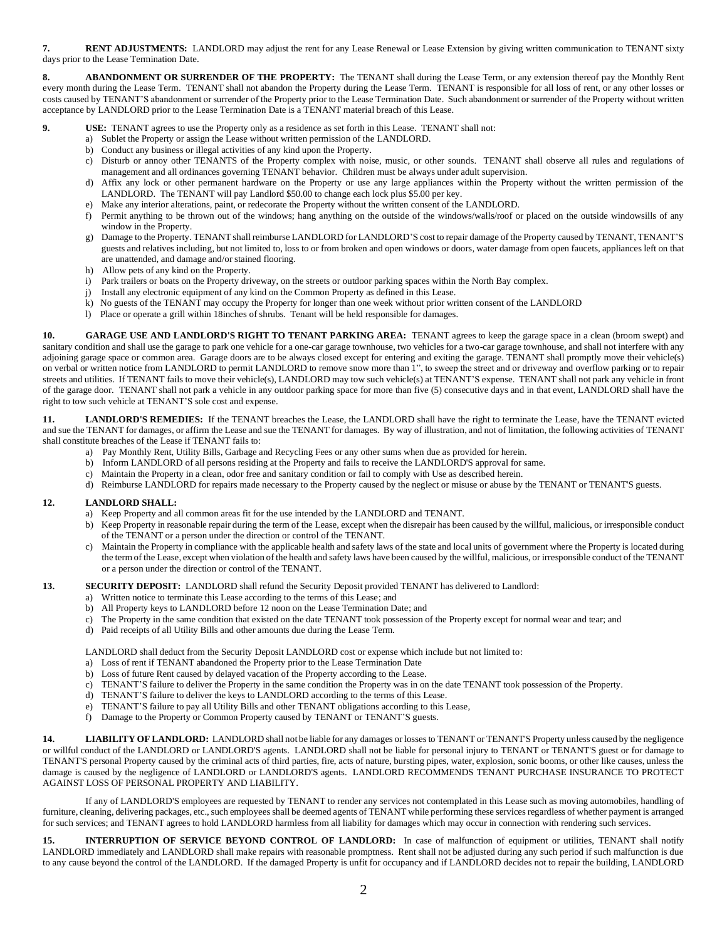**7. RENT ADJUSTMENTS:** LANDLORD may adjust the rent for any Lease Renewal or Lease Extension by giving written communication to TENANT sixty days prior to the Lease Termination Date.

**8. ABANDONMENT OR SURRENDER OF THE PROPERTY:** The TENANT shall during the Lease Term, or any extension thereof pay the Monthly Rent every month during the Lease Term. TENANT shall not abandon the Property during the Lease Term. TENANT is responsible for all loss of rent, or any other losses or costs caused by TENANT'S abandonment or surrender of the Property prior to the Lease Termination Date. Such abandonment or surrender of the Property without written acceptance by LANDLORD prior to the Lease Termination Date is a TENANT material breach of this Lease.

- **9. USE:** TENANT agrees to use the Property only as a residence as set forth in this Lease. TENANT shall not:
	- a) Sublet the Property or assign the Lease without written permission of the LANDLORD.
	- b) Conduct any business or illegal activities of any kind upon the Property.
	- c) Disturb or annoy other TENANTS of the Property complex with noise, music, or other sounds. TENANT shall observe all rules and regulations of management and all ordinances governing TENANT behavior. Children must be always under adult supervision.
	- d) Affix any lock or other permanent hardware on the Property or use any large appliances within the Property without the written permission of the LANDLORD. The TENANT will pay Landlord \$50.00 to change each lock plus \$5.00 per key.
	- e) Make any interior alterations, paint, or redecorate the Property without the written consent of the LANDLORD.
	- f) Permit anything to be thrown out of the windows; hang anything on the outside of the windows/walls/roof or placed on the outside windowsills of any window in the Property.
	- g) Damage to the Property. TENANT shall reimburse LANDLORD for LANDLORD'S cost to repair damage of the Property caused by TENANT, TENANT'S guests and relatives including, but not limited to, loss to or from broken and open windows or doors, water damage from open faucets, appliances left on that are unattended, and damage and/or stained flooring.
	- h) Allow pets of any kind on the Property.
	- i) Park trailers or boats on the Property driveway, on the streets or outdoor parking spaces within the North Bay complex.
	- j) Install any electronic equipment of any kind on the Common Property as defined in this Lease.
	- k) No guests of the TENANT may occupy the Property for longer than one week without prior written consent of the LANDLORD
	- l) Place or operate a grill within 18inches of shrubs. Tenant will be held responsible for damages.

**10. GARAGE USE AND LANDLORD'S RIGHT TO TENANT PARKING AREA:** TENANT agrees to keep the garage space in a clean (broom swept) and sanitary condition and shall use the garage to park one vehicle for a one-car garage townhouse, two vehicles for a two-car garage townhouse, and shall not interfere with any adjoining garage space or common area. Garage doors are to be always closed except for entering and exiting the garage. TENANT shall promptly move their vehicle(s) on verbal or written notice from LANDLORD to permit LANDLORD to remove snow more than 1", to sweep the street and or driveway and overflow parking or to repair streets and utilities. If TENANT fails to move their vehicle(s), LANDLORD may tow such vehicle(s) at TENANT'S expense. TENANT shall not park any vehicle in front of the garage door. TENANT shall not park a vehicle in any outdoor parking space for more than five (5) consecutive days and in that event, LANDLORD shall have the right to tow such vehicle at TENANT'S sole cost and expense.

LANDLORD'S REMEDIES: If the TENANT breaches the Lease, the LANDLORD shall have the right to terminate the Lease, have the TENANT evicted and sue the TENANT for damages, or affirm the Lease and sue the TENANT for damages. By way of illustration, and not of limitation, the following activities of TENANT shall constitute breaches of the Lease if TENANT fails to:

- a) Pay Monthly Rent, Utility Bills, Garbage and Recycling Fees or any other sums when due as provided for herein.
- b) Inform LANDLORD of all persons residing at the Property and fails to receive the LANDLORD'S approval for same.
- c) Maintain the Property in a clean, odor free and sanitary condition or fail to comply with Use as described herein.
- d) Reimburse LANDLORD for repairs made necessary to the Property caused by the neglect or misuse or abuse by the TENANT or TENANT'S guests.

## **12. LANDLORD SHALL:**

- a) Keep Property and all common areas fit for the use intended by the LANDLORD and TENANT.
- b) Keep Property in reasonable repair during the term of the Lease, except when the disrepair has been caused by the willful, malicious, or irresponsible conduct of the TENANT or a person under the direction or control of the TENANT.
- c) Maintain the Property in compliance with the applicable health and safety laws of the state and local units of government where the Property is located during the term of the Lease, except when violation of the health and safety laws have been caused by the willful, malicious, or irresponsible conduct of the TENANT or a person under the direction or control of the TENANT.

## **13. SECURITY DEPOSIT:** LANDLORD shall refund the Security Deposit provided TENANT has delivered to Landlord:

- a) Written notice to terminate this Lease according to the terms of this Lease; and
- b) All Property keys to LANDLORD before 12 noon on the Lease Termination Date; and
- c) The Property in the same condition that existed on the date TENANT took possession of the Property except for normal wear and tear; and
- d) Paid receipts of all Utility Bills and other amounts due during the Lease Term.

LANDLORD shall deduct from the Security Deposit LANDLORD cost or expense which include but not limited to:

- a) Loss of rent if TENANT abandoned the Property prior to the Lease Termination Date
- b) Loss of future Rent caused by delayed vacation of the Property according to the Lease.
- c) TENANT'S failure to deliver the Property in the same condition the Property was in on the date TENANT took possession of the Property.
- d) TENANT'S failure to deliver the keys to LANDLORD according to the terms of this Lease.
- e) TENANT'S failure to pay all Utility Bills and other TENANT obligations according to this Lease,
- f) Damage to the Property or Common Property caused by TENANT or TENANT'S guests.

**14. LIABILITY OF LANDLORD:** LANDLORD shall not be liable for any damages or losses to TENANT or TENANT'S Property unless caused by the negligence or willful conduct of the LANDLORD or LANDLORD'S agents. LANDLORD shall not be liable for personal injury to TENANT or TENANT'S guest or for damage to TENANT'S personal Property caused by the criminal acts of third parties, fire, acts of nature, bursting pipes, water, explosion, sonic booms, or other like causes, unless the damage is caused by the negligence of LANDLORD or LANDLORD'S agents. LANDLORD RECOMMENDS TENANT PURCHASE INSURANCE TO PROTECT AGAINST LOSS OF PERSONAL PROPERTY AND LIABILITY.

If any of LANDLORD'S employees are requested by TENANT to render any services not contemplated in this Lease such as moving automobiles, handling of furniture, cleaning, delivering packages, etc., such employees shall be deemed agents of TENANT while performing these services regardless of whether payment is arranged for such services; and TENANT agrees to hold LANDLORD harmless from all liability for damages which may occur in connection with rendering such services.

**15. INTERRUPTION OF SERVICE BEYOND CONTROL OF LANDLORD:** In case of malfunction of equipment or utilities, TENANT shall notify LANDLORD immediately and LANDLORD shall make repairs with reasonable promptness. Rent shall not be adjusted during any such period if such malfunction is due to any cause beyond the control of the LANDLORD. If the damaged Property is unfit for occupancy and if LANDLORD decides not to repair the building, LANDLORD